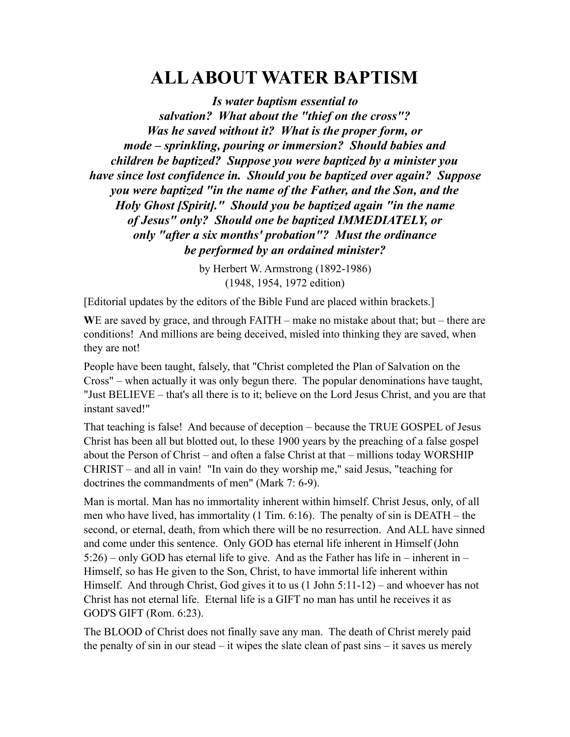# **ALL ABOUT WATER BAPTISM**

*Is water baptism essential to salvation? What about the "thief on the cross"? Was he saved without it? What is the proper form, or mode – sprinkling, pouring or immersion? Should babies and children be baptized? Suppose you were baptized by a minister you have since lost confidence in. Should you be baptized over again? Suppose you were baptized "in the name of the Father, and the Son, and the Holy Ghost [Spirit]." Should you be baptized again "in the name of Jesus" only? Should one be baptized IMMEDIATELY, or only "after a six months' probation"? Must the ordinance be performed by an ordained minister?*

> by Herbert W. Armstrong (1892-1986) (1948, 1954, 1972 edition)

[Editorial updates by the editors of the Bible Fund are placed within brackets.]

**W**E are saved by grace, and through FAITH – make no mistake about that; but – there are conditions! And millions are being deceived, misled into thinking they are saved, when they are not!

People have been taught, falsely, that "Christ completed the Plan of Salvation on the Cross" – when actually it was only begun there. The popular denominations have taught, "Just BELIEVE – that's all there is to it; believe on the Lord Jesus Christ, and you are that instant saved!"

That teaching is false! And because of deception – because the TRUE GOSPEL of Jesus Christ has been all but blotted out, lo these 1900 years by the preaching of a false gospel about the Person of Christ – and often a false Christ at that – millions today WORSHIP CHRIST – and all in vain! "In vain do they worship me," said Jesus, "teaching for doctrines the commandments of men" (Mark 7: 6-9).

Man is mortal. Man has no immortality inherent within himself. Christ Jesus, only, of all men who have lived, has immortality (1 Tim. 6:16). The penalty of sin is DEATH – the second, or eternal, death, from which there will be no resurrection. And ALL have sinned and come under this sentence. Only GOD has eternal life inherent in Himself (John 5:26) – only GOD has eternal life to give. And as the Father has life in – inherent in – Himself, so has He given to the Son, Christ, to have immortal life inherent within Himself. And through Christ, God gives it to us (1 John 5:11-12) – and whoever has not Christ has not eternal life. Eternal life is a GIFT no man has until he receives it as GOD'S GIFT (Rom. 6:23).

The BLOOD of Christ does not finally save any man. The death of Christ merely paid the penalty of sin in our stead – it wipes the slate clean of past sins – it saves us merely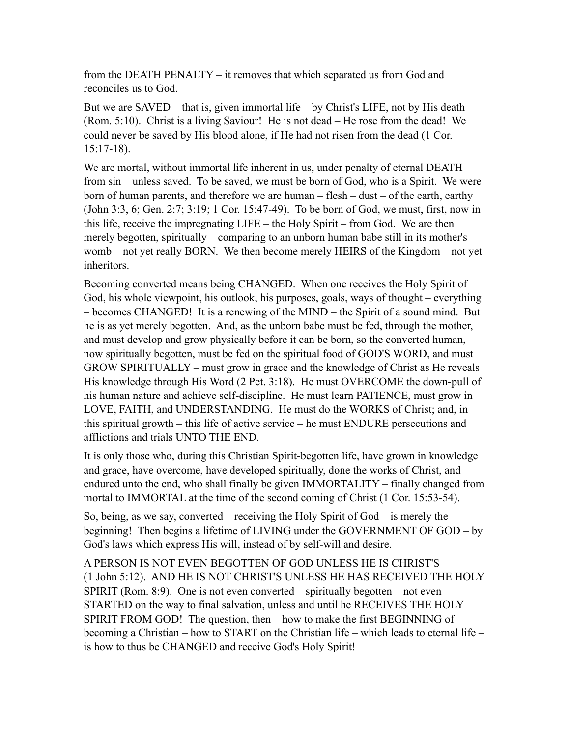from the DEATH PENALTY – it removes that which separated us from God and reconciles us to God.

But we are SAVED – that is, given immortal life – by Christ's LIFE, not by His death (Rom. 5:10). Christ is a living Saviour! He is not dead – He rose from the dead! We could never be saved by His blood alone, if He had not risen from the dead (1 Cor. 15:17-18).

We are mortal, without immortal life inherent in us, under penalty of eternal DEATH from sin – unless saved. To be saved, we must be born of God, who is a Spirit. We were born of human parents, and therefore we are human – flesh – dust – of the earth, earthy (John 3:3, 6; Gen. 2:7; 3:19; 1 Cor. 15:47-49). To be born of God, we must, first, now in this life, receive the impregnating LIFE – the Holy Spirit – from God. We are then merely begotten, spiritually – comparing to an unborn human babe still in its mother's womb – not yet really BORN. We then become merely HEIRS of the Kingdom – not yet inheritors.

Becoming converted means being CHANGED. When one receives the Holy Spirit of God, his whole viewpoint, his outlook, his purposes, goals, ways of thought – everything – becomes CHANGED! It is a renewing of the MIND – the Spirit of a sound mind. But he is as yet merely begotten. And, as the unborn babe must be fed, through the mother, and must develop and grow physically before it can be born, so the converted human, now spiritually begotten, must be fed on the spiritual food of GOD'S WORD, and must GROW SPIRITUALLY – must grow in grace and the knowledge of Christ as He reveals His knowledge through His Word (2 Pet. 3:18). He must OVERCOME the down-pull of his human nature and achieve self-discipline. He must learn PATIENCE, must grow in LOVE, FAITH, and UNDERSTANDING. He must do the WORKS of Christ; and, in this spiritual growth – this life of active service – he must ENDURE persecutions and afflictions and trials UNTO THE END.

It is only those who, during this Christian Spirit-begotten life, have grown in knowledge and grace, have overcome, have developed spiritually, done the works of Christ, and endured unto the end, who shall finally be given IMMORTALITY – finally changed from mortal to IMMORTAL at the time of the second coming of Christ (1 Cor. 15:53-54).

So, being, as we say, converted – receiving the Holy Spirit of God – is merely the beginning! Then begins a lifetime of LIVING under the GOVERNMENT OF GOD – by God's laws which express His will, instead of by self-will and desire.

A PERSON IS NOT EVEN BEGOTTEN OF GOD UNLESS HE IS CHRIST'S (1 John 5:12). AND HE IS NOT CHRIST'S UNLESS HE HAS RECEIVED THE HOLY  $SPIRIT (Rom. 8:9)$ . One is not even converted – spiritually begotten – not even STARTED on the way to final salvation, unless and until he RECEIVES THE HOLY SPIRIT FROM GOD! The question, then – how to make the first BEGINNING of becoming a Christian – how to START on the Christian life – which leads to eternal life – is how to thus be CHANGED and receive God's Holy Spirit!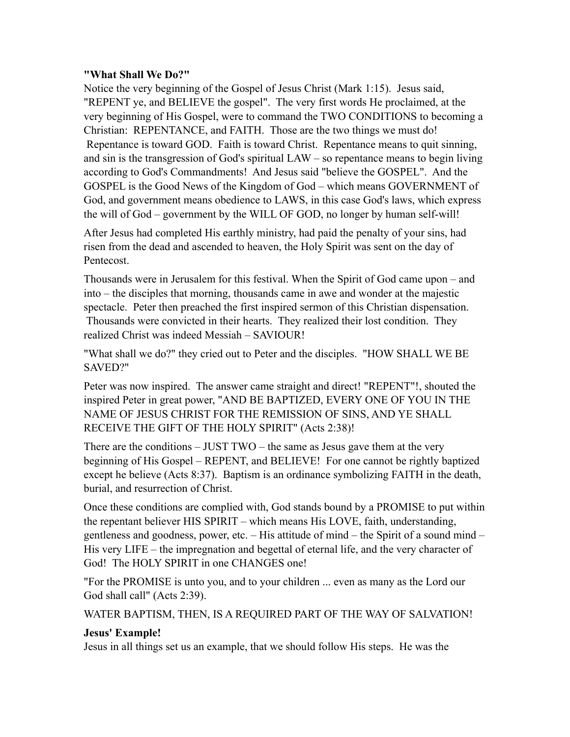#### **"What Shall We Do?"**

Notice the very beginning of the Gospel of Jesus Christ (Mark 1:15). Jesus said, "REPENT ye, and BELIEVE the gospel". The very first words He proclaimed, at the very beginning of His Gospel, were to command the TWO CONDITIONS to becoming a Christian: REPENTANCE, and FAITH. Those are the two things we must do! Repentance is toward GOD. Faith is toward Christ. Repentance means to quit sinning, and sin is the transgression of God's spiritual LAW – so repentance means to begin living according to God's Commandments! And Jesus said "believe the GOSPEL". And the GOSPEL is the Good News of the Kingdom of God – which means GOVERNMENT of God, and government means obedience to LAWS, in this case God's laws, which express the will of God – government by the WILL OF GOD, no longer by human self-will!

After Jesus had completed His earthly ministry, had paid the penalty of your sins, had risen from the dead and ascended to heaven, the Holy Spirit was sent on the day of Pentecost.

Thousands were in Jerusalem for this festival. When the Spirit of God came upon – and into – the disciples that morning, thousands came in awe and wonder at the majestic spectacle. Peter then preached the first inspired sermon of this Christian dispensation. Thousands were convicted in their hearts. They realized their lost condition. They realized Christ was indeed Messiah – SAVIOUR!

"What shall we do?" they cried out to Peter and the disciples. "HOW SHALL WE BE SAVED?"

Peter was now inspired. The answer came straight and direct! "REPENT"!, shouted the inspired Peter in great power, "AND BE BAPTIZED, EVERY ONE OF YOU IN THE NAME OF JESUS CHRIST FOR THE REMISSION OF SINS, AND YE SHALL RECEIVE THE GIFT OF THE HOLY SPIRIT" (Acts 2:38)!

There are the conditions – JUST TWO – the same as Jesus gave them at the very beginning of His Gospel – REPENT, and BELIEVE! For one cannot be rightly baptized except he believe (Acts 8:37). Baptism is an ordinance symbolizing FAITH in the death, burial, and resurrection of Christ.

Once these conditions are complied with, God stands bound by a PROMISE to put within the repentant believer HIS SPIRIT – which means His LOVE, faith, understanding, gentleness and goodness, power, etc. – His attitude of mind – the Spirit of a sound mind – His very LIFE – the impregnation and begettal of eternal life, and the very character of God! The HOLY SPIRIT in one CHANGES one!

"For the PROMISE is unto you, and to your children ... even as many as the Lord our God shall call" (Acts 2:39).

WATER BAPTISM, THEN, IS A REQUIRED PART OF THE WAY OF SALVATION!

#### **Jesus' Example!**

Jesus in all things set us an example, that we should follow His steps. He was the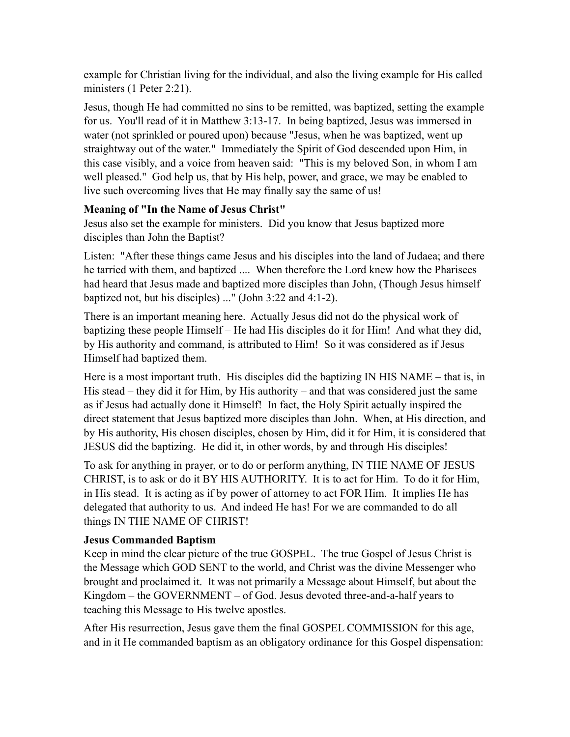example for Christian living for the individual, and also the living example for His called ministers (1 Peter 2:21).

Jesus, though He had committed no sins to be remitted, was baptized, setting the example for us. You'll read of it in Matthew 3:13-17. In being baptized, Jesus was immersed in water (not sprinkled or poured upon) because "Jesus, when he was baptized, went up straightway out of the water." Immediately the Spirit of God descended upon Him, in this case visibly, and a voice from heaven said: "This is my beloved Son, in whom I am well pleased." God help us, that by His help, power, and grace, we may be enabled to live such overcoming lives that He may finally say the same of us!

# **Meaning of "In the Name of Jesus Christ"**

Jesus also set the example for ministers. Did you know that Jesus baptized more disciples than John the Baptist?

Listen: "After these things came Jesus and his disciples into the land of Judaea; and there he tarried with them, and baptized .... When therefore the Lord knew how the Pharisees had heard that Jesus made and baptized more disciples than John, (Though Jesus himself baptized not, but his disciples) ..." (John 3:22 and 4:1-2).

There is an important meaning here. Actually Jesus did not do the physical work of baptizing these people Himself – He had His disciples do it for Him! And what they did, by His authority and command, is attributed to Him! So it was considered as if Jesus Himself had baptized them.

Here is a most important truth. His disciples did the baptizing IN HIS NAME – that is, in His stead – they did it for Him, by His authority – and that was considered just the same as if Jesus had actually done it Himself! In fact, the Holy Spirit actually inspired the direct statement that Jesus baptized more disciples than John. When, at His direction, and by His authority, His chosen disciples, chosen by Him, did it for Him, it is considered that JESUS did the baptizing. He did it, in other words, by and through His disciples!

To ask for anything in prayer, or to do or perform anything, IN THE NAME OF JESUS CHRIST, is to ask or do it BY HIS AUTHORITY. It is to act for Him. To do it for Him, in His stead. It is acting as if by power of attorney to act FOR Him. It implies He has delegated that authority to us. And indeed He has! For we are commanded to do all things IN THE NAME OF CHRIST!

# **Jesus Commanded Baptism**

Keep in mind the clear picture of the true GOSPEL. The true Gospel of Jesus Christ is the Message which GOD SENT to the world, and Christ was the divine Messenger who brought and proclaimed it. It was not primarily a Message about Himself, but about the Kingdom – the GOVERNMENT – of God. Jesus devoted three-and-a-half years to teaching this Message to His twelve apostles.

After His resurrection, Jesus gave them the final GOSPEL COMMISSION for this age, and in it He commanded baptism as an obligatory ordinance for this Gospel dispensation: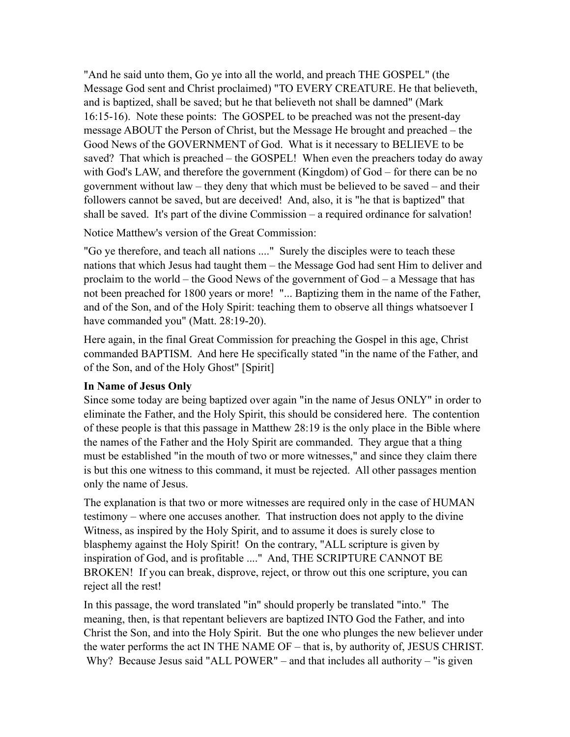"And he said unto them, Go ye into all the world, and preach THE GOSPEL" (the Message God sent and Christ proclaimed) "TO EVERY CREATURE. He that believeth, and is baptized, shall be saved; but he that believeth not shall be damned" (Mark 16:15-16). Note these points: The GOSPEL to be preached was not the present-day message ABOUT the Person of Christ, but the Message He brought and preached – the Good News of the GOVERNMENT of God. What is it necessary to BELIEVE to be saved? That which is preached – the GOSPEL! When even the preachers today do away with God's LAW, and therefore the government (Kingdom) of God – for there can be no government without law – they deny that which must be believed to be saved – and their followers cannot be saved, but are deceived! And, also, it is "he that is baptized" that shall be saved. It's part of the divine Commission – a required ordinance for salvation!

Notice Matthew's version of the Great Commission:

"Go ye therefore, and teach all nations ...." Surely the disciples were to teach these nations that which Jesus had taught them – the Message God had sent Him to deliver and proclaim to the world – the Good News of the government of God – a Message that has not been preached for 1800 years or more! "... Baptizing them in the name of the Father, and of the Son, and of the Holy Spirit: teaching them to observe all things whatsoever I have commanded you" (Matt. 28:19-20).

Here again, in the final Great Commission for preaching the Gospel in this age, Christ commanded BAPTISM. And here He specifically stated "in the name of the Father, and of the Son, and of the Holy Ghost" [Spirit]

#### **In Name of Jesus Only**

Since some today are being baptized over again "in the name of Jesus ONLY" in order to eliminate the Father, and the Holy Spirit, this should be considered here. The contention of these people is that this passage in Matthew 28:19 is the only place in the Bible where the names of the Father and the Holy Spirit are commanded. They argue that a thing must be established "in the mouth of two or more witnesses," and since they claim there is but this one witness to this command, it must be rejected. All other passages mention only the name of Jesus.

The explanation is that two or more witnesses are required only in the case of HUMAN testimony – where one accuses another. That instruction does not apply to the divine Witness, as inspired by the Holy Spirit, and to assume it does is surely close to blasphemy against the Holy Spirit! On the contrary, "ALL scripture is given by inspiration of God, and is profitable ...." And, THE SCRIPTURE CANNOT BE BROKEN! If you can break, disprove, reject, or throw out this one scripture, you can reject all the rest!

In this passage, the word translated "in" should properly be translated "into." The meaning, then, is that repentant believers are baptized INTO God the Father, and into Christ the Son, and into the Holy Spirit. But the one who plunges the new believer under the water performs the act IN THE NAME OF – that is, by authority of, JESUS CHRIST. Why? Because Jesus said "ALL POWER" – and that includes all authority – "is given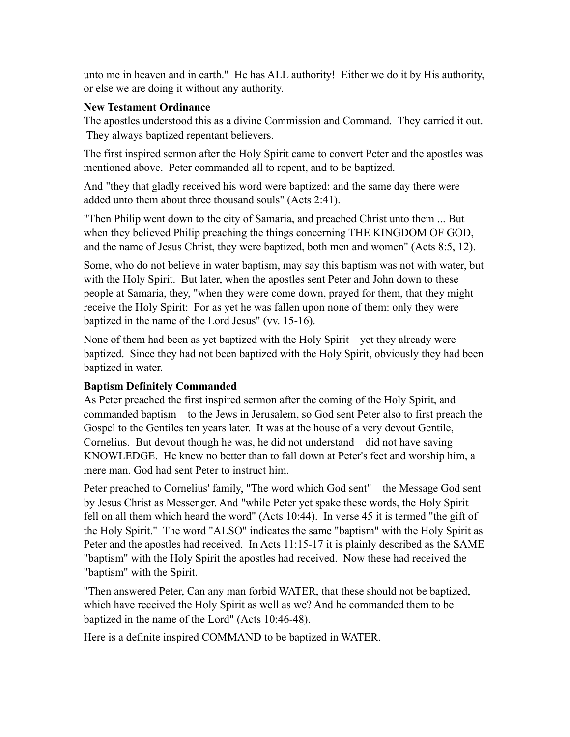unto me in heaven and in earth." He has ALL authority! Either we do it by His authority, or else we are doing it without any authority.

#### **New Testament Ordinance**

The apostles understood this as a divine Commission and Command. They carried it out. They always baptized repentant believers.

The first inspired sermon after the Holy Spirit came to convert Peter and the apostles was mentioned above. Peter commanded all to repent, and to be baptized.

And "they that gladly received his word were baptized: and the same day there were added unto them about three thousand souls" (Acts 2:41).

"Then Philip went down to the city of Samaria, and preached Christ unto them ... But when they believed Philip preaching the things concerning THE KINGDOM OF GOD, and the name of Jesus Christ, they were baptized, both men and women" (Acts 8:5, 12).

Some, who do not believe in water baptism, may say this baptism was not with water, but with the Holy Spirit. But later, when the apostles sent Peter and John down to these people at Samaria, they, "when they were come down, prayed for them, that they might receive the Holy Spirit: For as yet he was fallen upon none of them: only they were baptized in the name of the Lord Jesus" (vv. 15-16).

None of them had been as yet baptized with the Holy Spirit – yet they already were baptized. Since they had not been baptized with the Holy Spirit, obviously they had been baptized in water.

#### **Baptism Definitely Commanded**

As Peter preached the first inspired sermon after the coming of the Holy Spirit, and commanded baptism – to the Jews in Jerusalem, so God sent Peter also to first preach the Gospel to the Gentiles ten years later. It was at the house of a very devout Gentile, Cornelius. But devout though he was, he did not understand – did not have saving KNOWLEDGE. He knew no better than to fall down at Peter's feet and worship him, a mere man. God had sent Peter to instruct him.

Peter preached to Cornelius' family, "The word which God sent" – the Message God sent by Jesus Christ as Messenger. And "while Peter yet spake these words, the Holy Spirit fell on all them which heard the word" (Acts 10:44). In verse 45 it is termed "the gift of the Holy Spirit." The word "ALSO" indicates the same "baptism" with the Holy Spirit as Peter and the apostles had received. In Acts 11:15-17 it is plainly described as the SAME "baptism" with the Holy Spirit the apostles had received. Now these had received the "baptism" with the Spirit.

"Then answered Peter, Can any man forbid WATER, that these should not be baptized, which have received the Holy Spirit as well as we? And he commanded them to be baptized in the name of the Lord" (Acts 10:46-48).

Here is a definite inspired COMMAND to be baptized in WATER.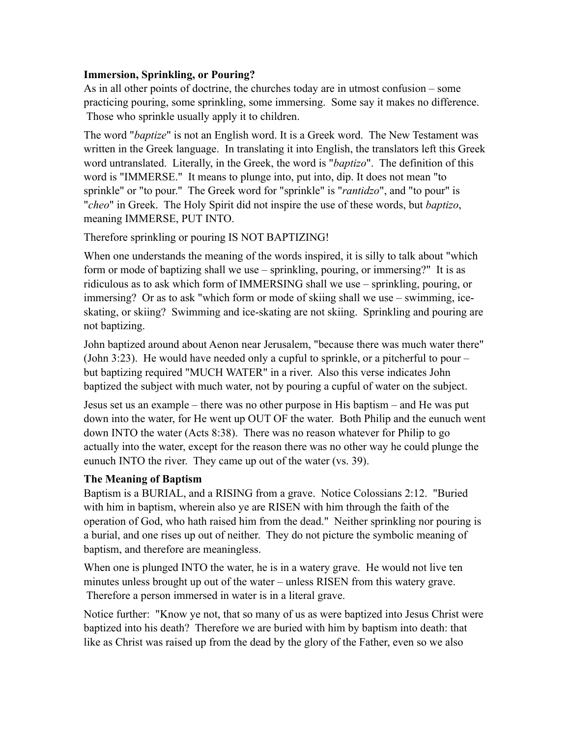## **Immersion, Sprinkling, or Pouring?**

As in all other points of doctrine, the churches today are in utmost confusion – some practicing pouring, some sprinkling, some immersing. Some say it makes no difference. Those who sprinkle usually apply it to children.

The word "*baptize*" is not an English word. It is a Greek word. The New Testament was written in the Greek language. In translating it into English, the translators left this Greek word untranslated. Literally, in the Greek, the word is "*baptizo*". The definition of this word is "IMMERSE." It means to plunge into, put into, dip. It does not mean "to sprinkle" or "to pour." The Greek word for "sprinkle" is "*rantidzo*", and "to pour" is "*cheo*" in Greek. The Holy Spirit did not inspire the use of these words, but *baptizo*, meaning IMMERSE, PUT INTO.

## Therefore sprinkling or pouring IS NOT BAPTIZING!

When one understands the meaning of the words inspired, it is silly to talk about "which form or mode of baptizing shall we use – sprinkling, pouring, or immersing?" It is as ridiculous as to ask which form of IMMERSING shall we use – sprinkling, pouring, or immersing? Or as to ask "which form or mode of skiing shall we use – swimming, iceskating, or skiing? Swimming and ice-skating are not skiing. Sprinkling and pouring are not baptizing.

John baptized around about Aenon near Jerusalem, "because there was much water there" (John 3:23). He would have needed only a cupful to sprinkle, or a pitcherful to pour – but baptizing required "MUCH WATER" in a river. Also this verse indicates John baptized the subject with much water, not by pouring a cupful of water on the subject.

Jesus set us an example – there was no other purpose in His baptism – and He was put down into the water, for He went up OUT OF the water. Both Philip and the eunuch went down INTO the water (Acts 8:38). There was no reason whatever for Philip to go actually into the water, except for the reason there was no other way he could plunge the eunuch INTO the river. They came up out of the water (vs. 39).

#### **The Meaning of Baptism**

Baptism is a BURIAL, and a RISING from a grave. Notice Colossians 2:12. "Buried with him in baptism, wherein also ye are RISEN with him through the faith of the operation of God, who hath raised him from the dead." Neither sprinkling nor pouring is a burial, and one rises up out of neither. They do not picture the symbolic meaning of baptism, and therefore are meaningless.

When one is plunged INTO the water, he is in a watery grave. He would not live ten minutes unless brought up out of the water – unless RISEN from this watery grave. Therefore a person immersed in water is in a literal grave.

Notice further: "Know ye not, that so many of us as were baptized into Jesus Christ were baptized into his death? Therefore we are buried with him by baptism into death: that like as Christ was raised up from the dead by the glory of the Father, even so we also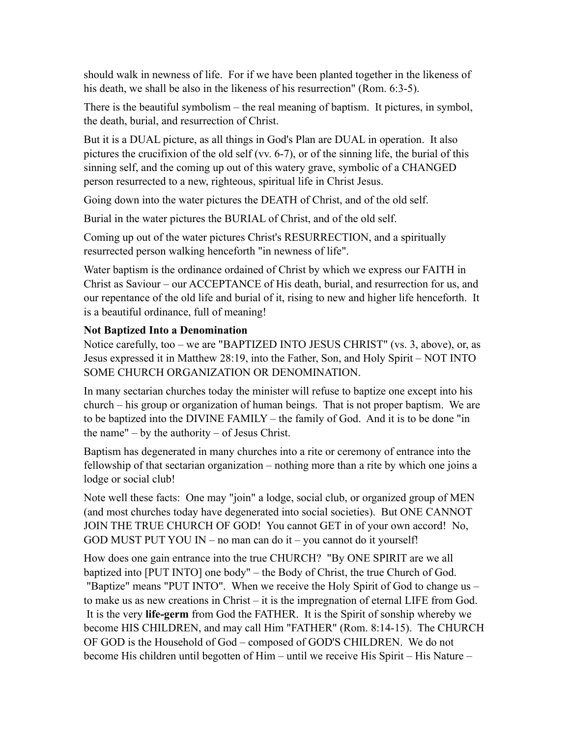should walk in newness of life. For if we have been planted together in the likeness of his death, we shall be also in the likeness of his resurrection" (Rom. 6:3-5).

There is the beautiful symbolism – the real meaning of baptism. It pictures, in symbol, the death, burial, and resurrection of Christ.

But it is a DUAL picture, as all things in God's Plan are DUAL in operation. It also pictures the crucifixion of the old self (vv. 6-7), or of the sinning life, the burial of this sinning self, and the coming up out of this watery grave, symbolic of a CHANGED person resurrected to a new, righteous, spiritual life in Christ Jesus.

Going down into the water pictures the DEATH of Christ, and of the old self.

Burial in the water pictures the BURIAL of Christ, and of the old self.

Coming up out of the water pictures Christ's RESURRECTION, and a spiritually resurrected person walking henceforth "in newness of life".

Water baptism is the ordinance ordained of Christ by which we express our FAITH in Christ as Saviour – our ACCEPTANCE of His death, burial, and resurrection for us, and our repentance of the old life and burial of it, rising to new and higher life henceforth. It is a beautiful ordinance, full of meaning!

# **Not Baptized Into a Denomination**

Notice carefully, too – we are "BAPTIZED INTO JESUS CHRIST" (vs. 3, above), or, as Jesus expressed it in Matthew 28:19, into the Father, Son, and Holy Spirit – NOT INTO SOME CHURCH ORGANIZATION OR DENOMINATION.

In many sectarian churches today the minister will refuse to baptize one except into his church – his group or organization of human beings. That is not proper baptism. We are to be baptized into the DIVINE FAMILY – the family of God. And it is to be done "in the name" – by the authority – of Jesus Christ.

Baptism has degenerated in many churches into a rite or ceremony of entrance into the fellowship of that sectarian organization – nothing more than a rite by which one joins a lodge or social club!

Note well these facts: One may "join" a lodge, social club, or organized group of MEN (and most churches today have degenerated into social societies). But ONE CANNOT JOIN THE TRUE CHURCH OF GOD! You cannot GET in of your own accord! No, GOD MUST PUT YOU IN – no man can do it – you cannot do it yourself!

How does one gain entrance into the true CHURCH? "By ONE SPIRIT are we all baptized into [PUT INTO] one body" – the Body of Christ, the true Church of God. "Baptize" means "PUT INTO". When we receive the Holy Spirit of God to change us – to make us as new creations in Christ – it is the impregnation of eternal LIFE from God. It is the very **life-germ** from God the FATHER. It is the Spirit of sonship whereby we become HIS CHILDREN, and may call Him "FATHER" (Rom. 8:14-15). The CHURCH OF GOD is the Household of God – composed of GOD'S CHILDREN. We do not become His children until begotten of Him – until we receive His Spirit – His Nature –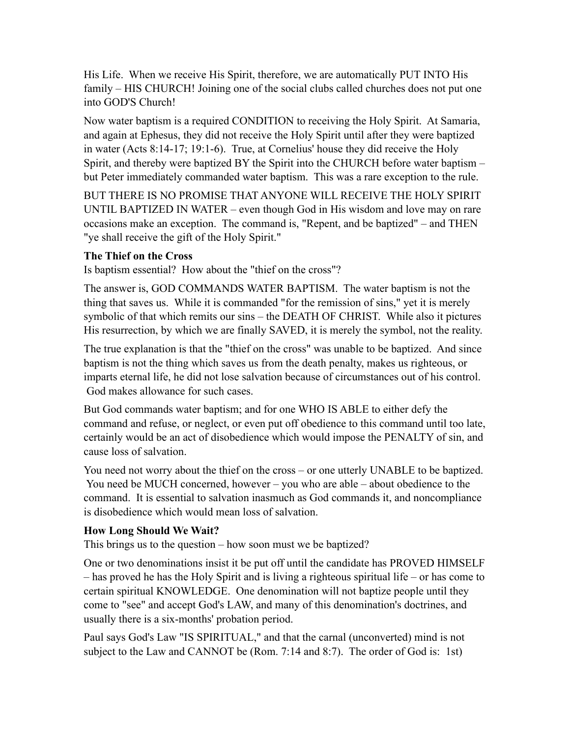His Life. When we receive His Spirit, therefore, we are automatically PUT INTO His family – HIS CHURCH! Joining one of the social clubs called churches does not put one into GOD'S Church!

Now water baptism is a required CONDITION to receiving the Holy Spirit. At Samaria, and again at Ephesus, they did not receive the Holy Spirit until after they were baptized in water (Acts 8:14-17; 19:1-6). True, at Cornelius' house they did receive the Holy Spirit, and thereby were baptized BY the Spirit into the CHURCH before water baptism – but Peter immediately commanded water baptism. This was a rare exception to the rule.

BUT THERE IS NO PROMISE THAT ANYONE WILL RECEIVE THE HOLY SPIRIT UNTIL BAPTIZED IN WATER – even though God in His wisdom and love may on rare occasions make an exception. The command is, "Repent, and be baptized" – and THEN "ye shall receive the gift of the Holy Spirit."

## **The Thief on the Cross**

Is baptism essential? How about the "thief on the cross"?

The answer is, GOD COMMANDS WATER BAPTISM. The water baptism is not the thing that saves us. While it is commanded "for the remission of sins," yet it is merely symbolic of that which remits our sins – the DEATH OF CHRIST. While also it pictures His resurrection, by which we are finally SAVED, it is merely the symbol, not the reality.

The true explanation is that the "thief on the cross" was unable to be baptized. And since baptism is not the thing which saves us from the death penalty, makes us righteous, or imparts eternal life, he did not lose salvation because of circumstances out of his control. God makes allowance for such cases.

But God commands water baptism; and for one WHO IS ABLE to either defy the command and refuse, or neglect, or even put off obedience to this command until too late, certainly would be an act of disobedience which would impose the PENALTY of sin, and cause loss of salvation.

You need not worry about the thief on the cross – or one utterly UNABLE to be baptized. You need be MUCH concerned, however – you who are able – about obedience to the command. It is essential to salvation inasmuch as God commands it, and noncompliance is disobedience which would mean loss of salvation.

#### **How Long Should We Wait?**

This brings us to the question – how soon must we be baptized?

One or two denominations insist it be put off until the candidate has PROVED HIMSELF – has proved he has the Holy Spirit and is living a righteous spiritual life – or has come to certain spiritual KNOWLEDGE. One denomination will not baptize people until they come to "see" and accept God's LAW, and many of this denomination's doctrines, and usually there is a six-months' probation period.

Paul says God's Law "IS SPIRITUAL," and that the carnal (unconverted) mind is not subject to the Law and CANNOT be (Rom. 7:14 and 8:7). The order of God is: 1st)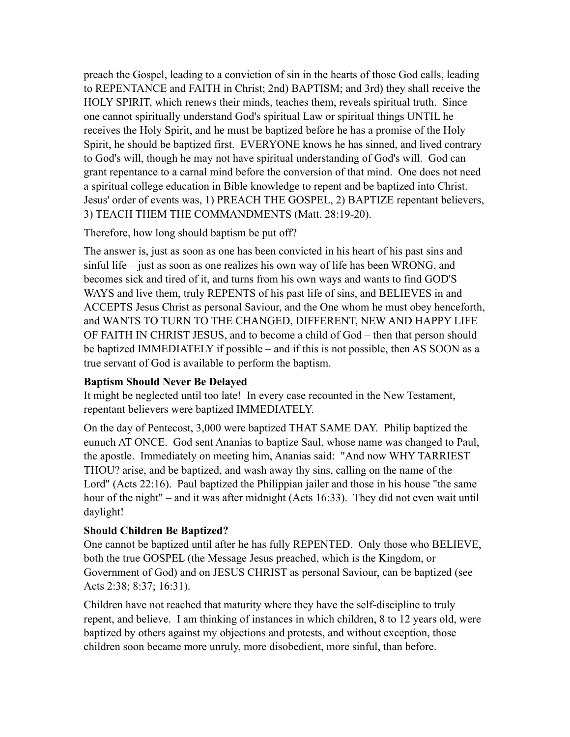preach the Gospel, leading to a conviction of sin in the hearts of those God calls, leading to REPENTANCE and FAITH in Christ; 2nd) BAPTISM; and 3rd) they shall receive the HOLY SPIRIT, which renews their minds, teaches them, reveals spiritual truth. Since one cannot spiritually understand God's spiritual Law or spiritual things UNTIL he receives the Holy Spirit, and he must be baptized before he has a promise of the Holy Spirit, he should be baptized first. EVERYONE knows he has sinned, and lived contrary to God's will, though he may not have spiritual understanding of God's will. God can grant repentance to a carnal mind before the conversion of that mind. One does not need a spiritual college education in Bible knowledge to repent and be baptized into Christ. Jesus' order of events was, 1) PREACH THE GOSPEL, 2) BAPTIZE repentant believers, 3) TEACH THEM THE COMMANDMENTS (Matt. 28:19-20).

Therefore, how long should baptism be put off?

The answer is, just as soon as one has been convicted in his heart of his past sins and sinful life – just as soon as one realizes his own way of life has been WRONG, and becomes sick and tired of it, and turns from his own ways and wants to find GOD'S WAYS and live them, truly REPENTS of his past life of sins, and BELIEVES in and ACCEPTS Jesus Christ as personal Saviour, and the One whom he must obey henceforth, and WANTS TO TURN TO THE CHANGED, DIFFERENT, NEW AND HAPPY LIFE OF FAITH IN CHRIST JESUS, and to become a child of God – then that person should be baptized IMMEDIATELY if possible – and if this is not possible, then AS SOON as a true servant of God is available to perform the baptism.

# **Baptism Should Never Be Delayed**

It might be neglected until too late! In every case recounted in the New Testament, repentant believers were baptized IMMEDIATELY.

On the day of Pentecost, 3,000 were baptized THAT SAME DAY. Philip baptized the eunuch AT ONCE. God sent Ananias to baptize Saul, whose name was changed to Paul, the apostle. Immediately on meeting him, Ananias said: "And now WHY TARRIEST THOU? arise, and be baptized, and wash away thy sins, calling on the name of the Lord" (Acts 22:16). Paul baptized the Philippian jailer and those in his house "the same hour of the night" – and it was after midnight (Acts 16:33). They did not even wait until daylight!

# **Should Children Be Baptized?**

One cannot be baptized until after he has fully REPENTED. Only those who BELIEVE, both the true GOSPEL (the Message Jesus preached, which is the Kingdom, or Government of God) and on JESUS CHRIST as personal Saviour, can be baptized (see Acts 2:38; 8:37; 16:31).

Children have not reached that maturity where they have the self-discipline to truly repent, and believe. I am thinking of instances in which children, 8 to 12 years old, were baptized by others against my objections and protests, and without exception, those children soon became more unruly, more disobedient, more sinful, than before.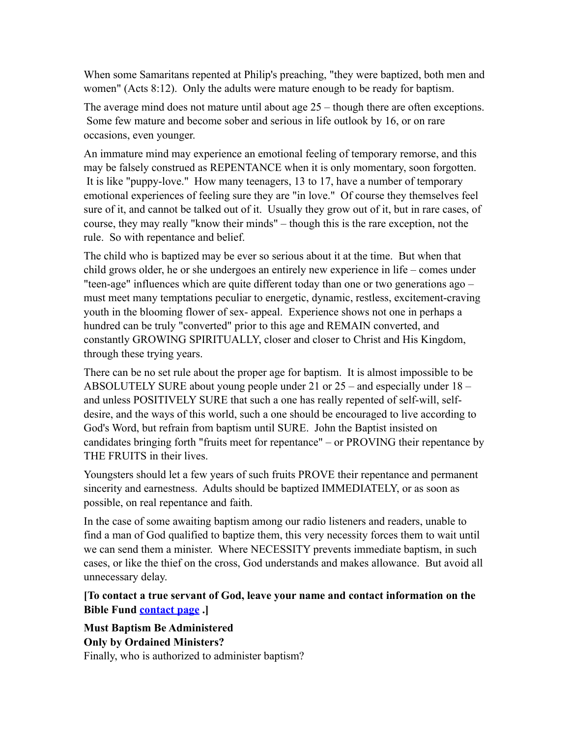When some Samaritans repented at Philip's preaching, "they were baptized, both men and women" (Acts 8:12). Only the adults were mature enough to be ready for baptism.

The average mind does not mature until about age 25 – though there are often exceptions. Some few mature and become sober and serious in life outlook by 16, or on rare occasions, even younger.

An immature mind may experience an emotional feeling of temporary remorse, and this may be falsely construed as REPENTANCE when it is only momentary, soon forgotten. It is like "puppy-love." How many teenagers, 13 to 17, have a number of temporary emotional experiences of feeling sure they are "in love." Of course they themselves feel sure of it, and cannot be talked out of it. Usually they grow out of it, but in rare cases, of course, they may really "know their minds" – though this is the rare exception, not the rule. So with repentance and belief.

The child who is baptized may be ever so serious about it at the time. But when that child grows older, he or she undergoes an entirely new experience in life – comes under "teen-age" influences which are quite different today than one or two generations ago – must meet many temptations peculiar to energetic, dynamic, restless, excitement-craving youth in the blooming flower of sex- appeal. Experience shows not one in perhaps a hundred can be truly "converted" prior to this age and REMAIN converted, and constantly GROWING SPIRITUALLY, closer and closer to Christ and His Kingdom, through these trying years.

There can be no set rule about the proper age for baptism. It is almost impossible to be ABSOLUTELY SURE about young people under 21 or 25 – and especially under 18 – and unless POSITIVELY SURE that such a one has really repented of self-will, selfdesire, and the ways of this world, such a one should be encouraged to live according to God's Word, but refrain from baptism until SURE. John the Baptist insisted on candidates bringing forth "fruits meet for repentance" – or PROVING their repentance by THE FRUITS in their lives.

Youngsters should let a few years of such fruits PROVE their repentance and permanent sincerity and earnestness. Adults should be baptized IMMEDIATELY, or as soon as possible, on real repentance and faith.

In the case of some awaiting baptism among our radio listeners and readers, unable to find a man of God qualified to baptize them, this very necessity forces them to wait until we can send them a minister. Where NECESSITY prevents immediate baptism, in such cases, or like the thief on the cross, God understands and makes allowance. But avoid all unnecessary delay.

# **[To contact a true servant of God, leave your name and contact information on the Bible Fund [contact page](http://66.147.244.197/%257Ebiblefun/?page_id=33) .]**

**Must Baptism Be Administered Only by Ordained Ministers?** Finally, who is authorized to administer baptism?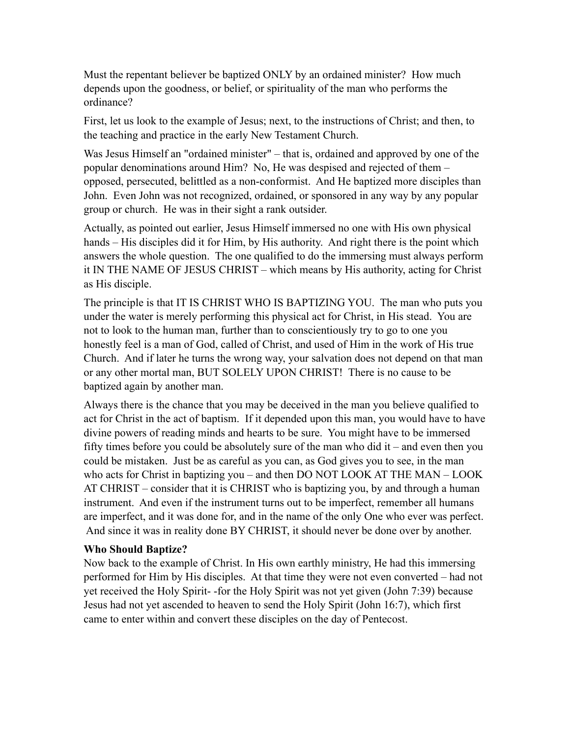Must the repentant believer be baptized ONLY by an ordained minister? How much depends upon the goodness, or belief, or spirituality of the man who performs the ordinance?

First, let us look to the example of Jesus; next, to the instructions of Christ; and then, to the teaching and practice in the early New Testament Church.

Was Jesus Himself an "ordained minister" – that is, ordained and approved by one of the popular denominations around Him? No, He was despised and rejected of them – opposed, persecuted, belittled as a non-conformist. And He baptized more disciples than John. Even John was not recognized, ordained, or sponsored in any way by any popular group or church. He was in their sight a rank outsider.

Actually, as pointed out earlier, Jesus Himself immersed no one with His own physical hands – His disciples did it for Him, by His authority. And right there is the point which answers the whole question. The one qualified to do the immersing must always perform it IN THE NAME OF JESUS CHRIST – which means by His authority, acting for Christ as His disciple.

The principle is that IT IS CHRIST WHO IS BAPTIZING YOU. The man who puts you under the water is merely performing this physical act for Christ, in His stead. You are not to look to the human man, further than to conscientiously try to go to one you honestly feel is a man of God, called of Christ, and used of Him in the work of His true Church. And if later he turns the wrong way, your salvation does not depend on that man or any other mortal man, BUT SOLELY UPON CHRIST! There is no cause to be baptized again by another man.

Always there is the chance that you may be deceived in the man you believe qualified to act for Christ in the act of baptism. If it depended upon this man, you would have to have divine powers of reading minds and hearts to be sure. You might have to be immersed fifty times before you could be absolutely sure of the man who did it – and even then you could be mistaken. Just be as careful as you can, as God gives you to see, in the man who acts for Christ in baptizing you – and then DO NOT LOOK AT THE MAN – LOOK AT CHRIST – consider that it is CHRIST who is baptizing you, by and through a human instrument. And even if the instrument turns out to be imperfect, remember all humans are imperfect, and it was done for, and in the name of the only One who ever was perfect. And since it was in reality done BY CHRIST, it should never be done over by another.

#### **Who Should Baptize?**

Now back to the example of Christ. In His own earthly ministry, He had this immersing performed for Him by His disciples. At that time they were not even converted – had not yet received the Holy Spirit- -for the Holy Spirit was not yet given (John 7:39) because Jesus had not yet ascended to heaven to send the Holy Spirit (John 16:7), which first came to enter within and convert these disciples on the day of Pentecost.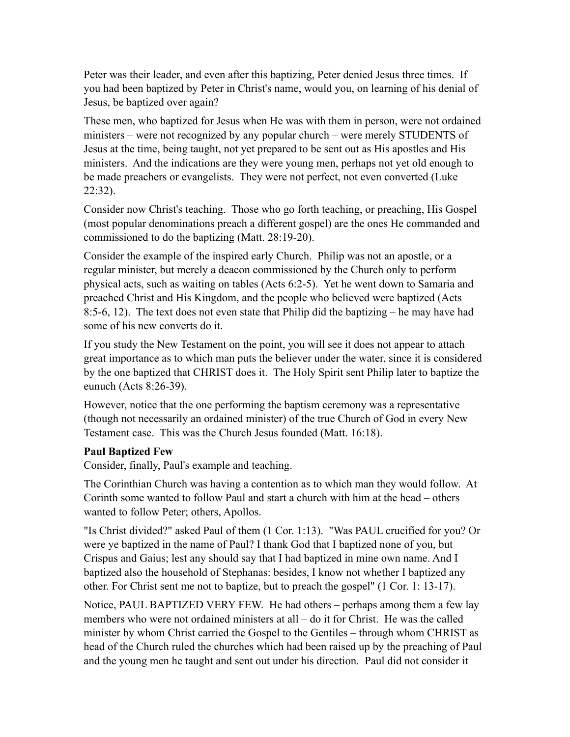Peter was their leader, and even after this baptizing, Peter denied Jesus three times. If you had been baptized by Peter in Christ's name, would you, on learning of his denial of Jesus, be baptized over again?

These men, who baptized for Jesus when He was with them in person, were not ordained ministers – were not recognized by any popular church – were merely STUDENTS of Jesus at the time, being taught, not yet prepared to be sent out as His apostles and His ministers. And the indications are they were young men, perhaps not yet old enough to be made preachers or evangelists. They were not perfect, not even converted (Luke 22:32).

Consider now Christ's teaching. Those who go forth teaching, or preaching, His Gospel (most popular denominations preach a different gospel) are the ones He commanded and commissioned to do the baptizing (Matt. 28:19-20).

Consider the example of the inspired early Church. Philip was not an apostle, or a regular minister, but merely a deacon commissioned by the Church only to perform physical acts, such as waiting on tables (Acts 6:2-5). Yet he went down to Samaria and preached Christ and His Kingdom, and the people who believed were baptized (Acts 8:5-6, 12). The text does not even state that Philip did the baptizing – he may have had some of his new converts do it.

If you study the New Testament on the point, you will see it does not appear to attach great importance as to which man puts the believer under the water, since it is considered by the one baptized that CHRIST does it. The Holy Spirit sent Philip later to baptize the eunuch (Acts 8:26-39).

However, notice that the one performing the baptism ceremony was a representative (though not necessarily an ordained minister) of the true Church of God in every New Testament case. This was the Church Jesus founded (Matt. 16:18).

#### **Paul Baptized Few**

Consider, finally, Paul's example and teaching.

The Corinthian Church was having a contention as to which man they would follow. At Corinth some wanted to follow Paul and start a church with him at the head – others wanted to follow Peter; others, Apollos.

"Is Christ divided?" asked Paul of them (1 Cor. 1:13). "Was PAUL crucified for you? Or were ye baptized in the name of Paul? I thank God that I baptized none of you, but Crispus and Gaius; lest any should say that I had baptized in mine own name. And I baptized also the household of Stephanas: besides, I know not whether I baptized any other. For Christ sent me not to baptize, but to preach the gospel" (1 Cor. 1: 13-17).

Notice, PAUL BAPTIZED VERY FEW. He had others – perhaps among them a few lay members who were not ordained ministers at all – do it for Christ. He was the called minister by whom Christ carried the Gospel to the Gentiles – through whom CHRIST as head of the Church ruled the churches which had been raised up by the preaching of Paul and the young men he taught and sent out under his direction. Paul did not consider it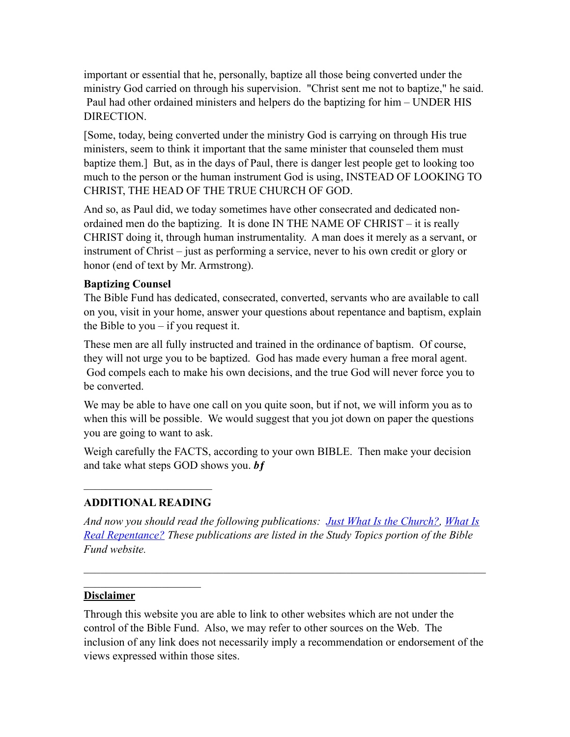important or essential that he, personally, baptize all those being converted under the ministry God carried on through his supervision. "Christ sent me not to baptize," he said. Paul had other ordained ministers and helpers do the baptizing for him – UNDER HIS DIRECTION.

[Some, today, being converted under the ministry God is carrying on through His true ministers, seem to think it important that the same minister that counseled them must baptize them.] But, as in the days of Paul, there is danger lest people get to looking too much to the person or the human instrument God is using, INSTEAD OF LOOKING TO CHRIST, THE HEAD OF THE TRUE CHURCH OF GOD.

And so, as Paul did, we today sometimes have other consecrated and dedicated nonordained men do the baptizing. It is done IN THE NAME OF CHRIST – it is really CHRIST doing it, through human instrumentality. A man does it merely as a servant, or instrument of Christ – just as performing a service, never to his own credit or glory or honor (end of text by Mr. Armstrong).

#### **Baptizing Counsel**

The Bible Fund has dedicated, consecrated, converted, servants who are available to call on you, visit in your home, answer your questions about repentance and baptism, explain the Bible to you – if you request it.

These men are all fully instructed and trained in the ordinance of baptism. Of course, they will not urge you to be baptized. God has made every human a free moral agent. God compels each to make his own decisions, and the true God will never force you to be converted.

We may be able to have one call on you quite soon, but if not, we will inform you as to when this will be possible. We would suggest that you jot down on paper the questions you are going to want to ask.

Weigh carefully the FACTS, according to your own BIBLE. Then make your decision and take what steps GOD shows you. *bƒ*

# $\mathcal{L}_\text{max}$  , where  $\mathcal{L}_\text{max}$  , we have the set of  $\mathcal{L}_\text{max}$ **ADDITIONAL READING**

 $\mathcal{L}_\text{max}$  , where  $\mathcal{L}_\text{max}$  , we have the set of the set of the set of the set of the set of the set of the set of the set of the set of the set of the set of the set of the set of the set of the set of the set of

*[And now you should read the following publications: Just What Is the Church?, What Is](http://biblefund.org/what_is_real_repentance.htm)  Real Repentance? These publications are listed in the Study Topics portion of the Bible Fund website.*

 $\mathcal{L}_\text{max}$  , and the contribution of the contribution of the contribution of the contribution of the contribution of the contribution of the contribution of the contribution of the contribution of the contribution of t

#### **Disclaimer**

Through this website you are able to link to other websites which are not under the control of the Bible Fund. Also, we may refer to other sources on the Web. The inclusion of any link does not necessarily imply a recommendation or endorsement of the views expressed within those sites.